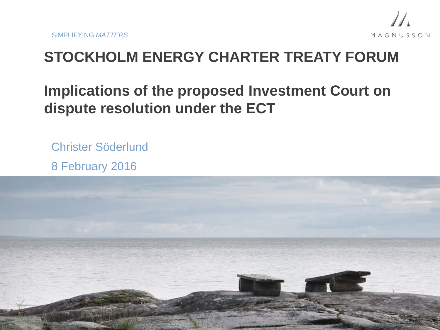

# **STOCKHOLM ENERGY CHARTER TREATY FORUM**

# **Implications of the proposed Investment Court on dispute resolution under the ECT**

Christer Söderlund 8 February 2016

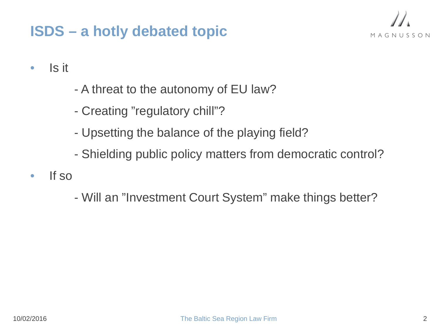### **ISDS – a hotly debated topic**



• Is it

- A threat to the autonomy of EU law?
- Creating "regulatory chill"?
- Upsetting the balance of the playing field?
- Shielding public policy matters from democratic control?
- If so

- Will an "Investment Court System" make things better?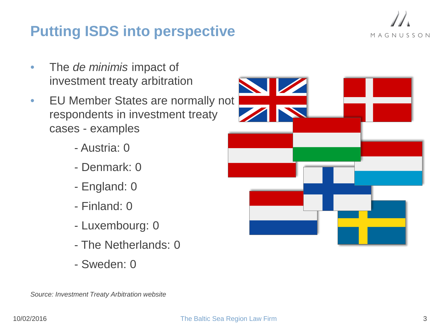### **Putting ISDS into perspective**



- EU Member States are normally not respondents in investment treaty cases - examples
	- Austria: 0
	- Denmark: 0
	- England: 0
	- Finland: 0
	- Luxembourg: 0
	- The Netherlands: 0
	- Sweden: 0



*Source: Investment Treaty Arbitration website*

MAGNUSSON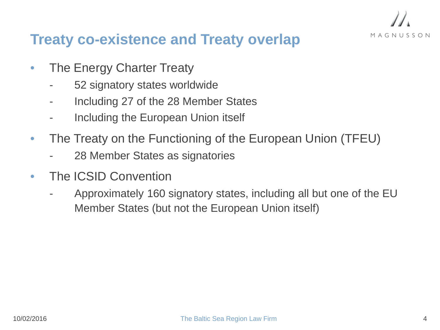

### **Treaty co-existence and Treaty overlap**

- The Energy Charter Treaty
	- 52 signatory states worldwide
	- Including 27 of the 28 Member States
	- Including the European Union itself
- The Treaty on the Functioning of the European Union (TFEU)
	- 28 Member States as signatories
- The ICSID Convention
	- Approximately 160 signatory states, including all but one of the EU Member States (but not the European Union itself)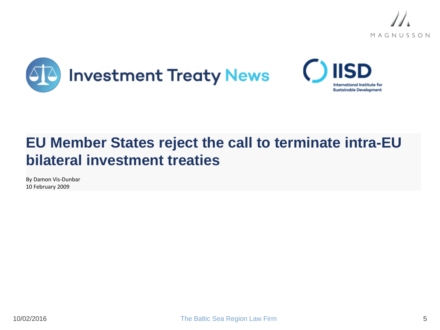





# **EU Member States reject the call to terminate intra-EU bilateral investment treaties**

By Damon Vis-Dunbar 10 February 2009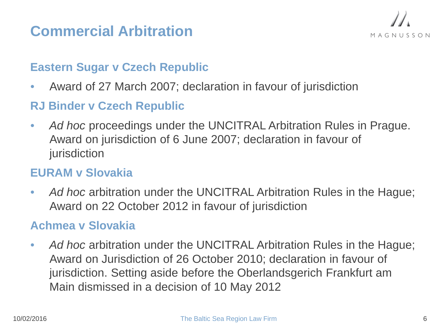# **Commercial Arbitration**



#### **Eastern Sugar v Czech Republic**

• Award of 27 March 2007; declaration in favour of jurisdiction

#### **RJ Binder v Czech Republic**

• Ad hoc proceedings under the UNCITRAL Arbitration Rules in Prague. Award on jurisdiction of 6 June 2007; declaration in favour of jurisdiction

#### **EURAM v Slovakia**

• Ad hoc arbitration under the UNCITRAL Arbitration Rules in the Hague; Award on 22 October 2012 in favour of jurisdiction

#### **Achmea v Slovakia**

• Ad hoc arbitration under the UNCITRAL Arbitration Rules in the Hague; Award on Jurisdiction of 26 October 2010; declaration in favour of jurisdiction. Setting aside before the Oberlandsgerich Frankfurt am Main dismissed in a decision of 10 May 2012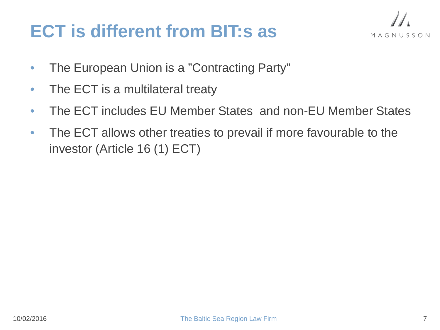# **ECT is different from BIT:s as**



- The European Union is a "Contracting Party"
- The ECT is a multilateral treaty
- The ECT includes EU Member States and non-EU Member States
- The ECT allows other treaties to prevail if more favourable to the investor (Article 16 (1) ECT)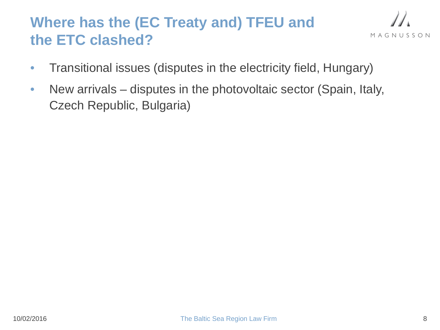# **Where has the (EC Treaty and) TFEU and the ETC clashed?**

$$
\mathcal{U}_{\mathbf{A}}
$$

- Transitional issues (disputes in the electricity field, Hungary)
- New arrivals disputes in the photovoltaic sector (Spain, Italy, Czech Republic, Bulgaria)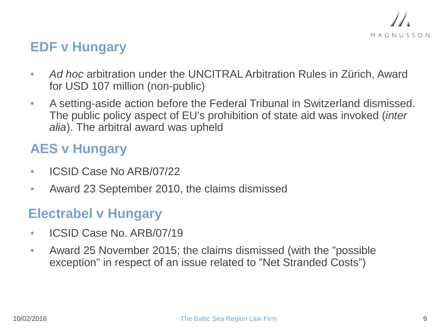

### **EDF v Hungary**

- *Ad hoc* arbitration under the UNCITRAL Arbitration Rules in Zürich, Award for USD 107 million (non-public)
- A setting-aside action before the Federal Tribunal in Switzerland dismissed. The public policy aspect of EU's prohibition of state aid was invoked (*inter alia*). The arbitral award was upheld

### **AES v Hungary**

- ICSID Case No ARB/07/22
- Award 23 September 2010, the claims dismissed

### **Electrabel v Hungary**

- ICSID Case No. ARB/07/19
- Award 25 November 2015; the claims dismissed (with the "possible exception" in respect of an issue related to "Net Stranded Costs")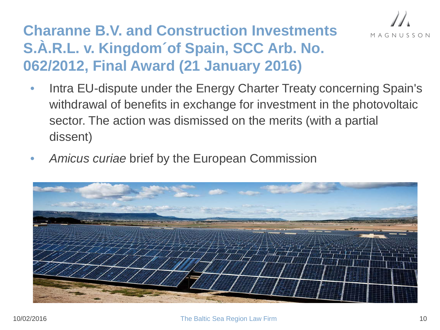

# **Charanne B.V. and Construction Investments S.À.R.L. v. Kingdom´of Spain, SCC Arb. No. 062/2012, Final Award (21 January 2016)**

- Intra EU-dispute under the Energy Charter Treaty concerning Spain's withdrawal of benefits in exchange for investment in the photovoltaic sector. The action was dismissed on the merits (with a partial dissent)
- *Amicus curiae* brief by the European Commission

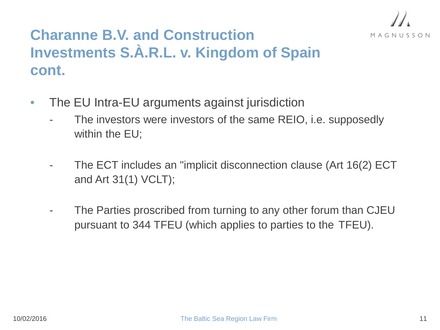

# **Charanne B.V. and Construction Investments S.À.R.L. v. Kingdom of Spain cont.**

- The EU Intra-EU arguments against jurisdiction
	- The investors were investors of the same REIO, i.e. supposedly within the EU;
	- The ECT includes an "implicit disconnection clause (Art 16(2) ECT and Art 31(1) VCLT);
	- The Parties proscribed from turning to any other forum than CJEU pursuant to 344 TFEU (which applies to parties to the TFEU).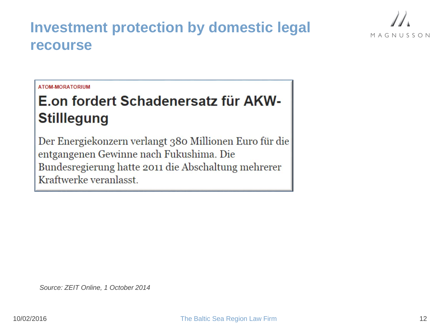### **Investment protection by domestic legal recourse**



#### **ATOM-MORATORIUM**

# E.on fordert Schadenersatz für AKW-**Stilllegung**

Der Energiekonzern verlangt 380 Millionen Euro für die entgangenen Gewinne nach Fukushima. Die Bundesregierung hatte 2011 die Abschaltung mehrerer Kraftwerke veranlasst.

*Source: ZEIT Online, 1 October 2014*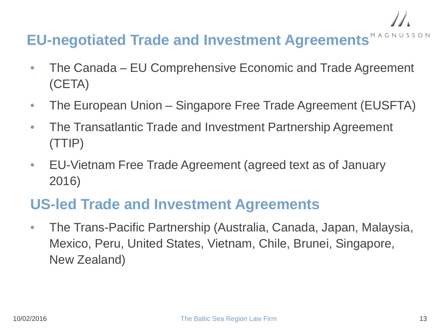# **EU-negotiated Trade and Investment Agreements**

- The Canada EU Comprehensive Economic and Trade Agreement (CETA)
- The European Union Singapore Free Trade Agreement (EUSFTA)
- The Transatlantic Trade and Investment Partnership Agreement (TTIP)
- EU-Vietnam Free Trade Agreement (agreed text as of January 2016)

### **US-led Trade and Investment Agreements**

• The Trans-Pacific Partnership (Australia, Canada, Japan, Malaysia, Mexico, Peru, United States, Vietnam, Chile, Brunei, Singapore, New Zealand)